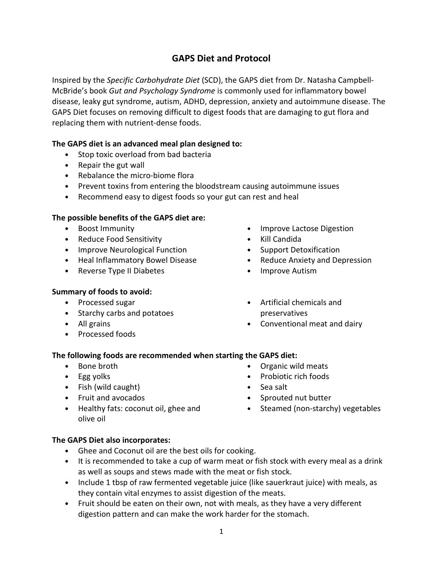# **GAPS Diet and Protocol**

Inspired by the *Specific Carbohydrate Diet* (SCD), the GAPS diet from Dr. Natasha Campbell-McBride's book *Gut and Psychology Syndrome* is commonly used for inflammatory bowel disease, leaky gut syndrome, autism, ADHD, depression, anxiety and autoimmune disease. The GAPS Diet focuses on removing difficult to digest foods that are damaging to gut flora and replacing them with nutrient-dense foods.

## **The GAPS diet is an advanced meal plan designed to:**

- Stop toxic overload from bad bacteria
- Repair the gut wall
- Rebalance the micro-biome flora
- Prevent toxins from entering the bloodstream causing autoimmune issues
- Recommend easy to digest foods so your gut can rest and heal

## **The possible benefits of the GAPS diet are:**

- Boost Immunity
- Reduce Food Sensitivity
- Improve Neurological Function
- Heal Inflammatory Bowel Disease
- Reverse Type II Diabetes

## **Summary of foods to avoid:**

- Processed sugar
- Starchy carbs and potatoes
- All grains
- Processed foods
- Improve Lactose Digestion
- Kill Candida
- Support Detoxification
- Reduce Anxiety and Depression
- Improve Autism
- Artificial chemicals and preservatives
- Conventional meat and dairy

## **The following foods are recommended when starting the GAPS diet:**

- Bone broth
- Egg yolks
- Fish (wild caught)
- Fruit and avocados
- Healthy fats: coconut oil, ghee and olive oil
- Organic wild meats
- Probiotic rich foods
- Sea salt
- Sprouted nut butter
- Steamed (non-starchy) vegetables

## **The GAPS Diet also incorporates:**

- Ghee and Coconut oil are the best oils for cooking.
- It is recommended to take a cup of warm meat or fish stock with every meal as a drink as well as soups and stews made with the meat or fish stock.
- Include 1 tbsp of raw fermented vegetable juice (like sauerkraut juice) with meals, as they contain vital enzymes to assist digestion of the meats.
- Fruit should be eaten on their own, not with meals, as they have a very different digestion pattern and can make the work harder for the stomach.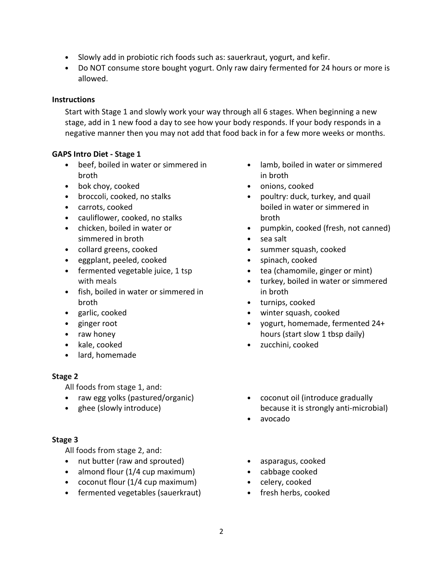- Slowly add in probiotic rich foods such as: sauerkraut, yogurt, and kefir.
- Do NOT consume store bought yogurt. Only raw dairy fermented for 24 hours or more is allowed.

## **Instructions**

Start with Stage 1 and slowly work your way through all 6 stages. When beginning a new stage, add in 1 new food a day to see how your body responds. If your body responds in a negative manner then you may not add that food back in for a few more weeks or months.

## **GAPS Intro Diet - Stage 1**

- beef, boiled in water or simmered in broth
- bok choy, cooked
- broccoli, cooked, no stalks
- carrots, cooked
- cauliflower, cooked, no stalks
- chicken, boiled in water or simmered in broth
- collard greens, cooked
- eggplant, peeled, cooked
- fermented vegetable juice, 1 tsp with meals
- fish, boiled in water or simmered in broth
- garlic, cooked
- ginger root
- raw honey
- kale, cooked
- lard, homemade

## **Stage 2**

All foods from stage 1, and:

- raw egg yolks (pastured/organic)
- ghee (slowly introduce)

## **Stage 3**

All foods from stage 2, and:

- nut butter (raw and sprouted)
- almond flour (1/4 cup maximum)
- coconut flour (1/4 cup maximum)
- fermented vegetables (sauerkraut)
- lamb, boiled in water or simmered in broth
- onions, cooked
- poultry: duck, turkey, and quail boiled in water or simmered in broth
- pumpkin, cooked (fresh, not canned)
- sea salt
- summer squash, cooked
- spinach, cooked
- tea (chamomile, ginger or mint)
- turkey, boiled in water or simmered in broth
- turnips, cooked
- winter squash, cooked
- yogurt, homemade, fermented 24+ hours (start slow 1 tbsp daily)
- zucchini, cooked
- coconut oil (introduce gradually because it is strongly anti-microbial)
- avocado
- asparagus, cooked
- cabbage cooked
- celery, cooked
- fresh herbs, cooked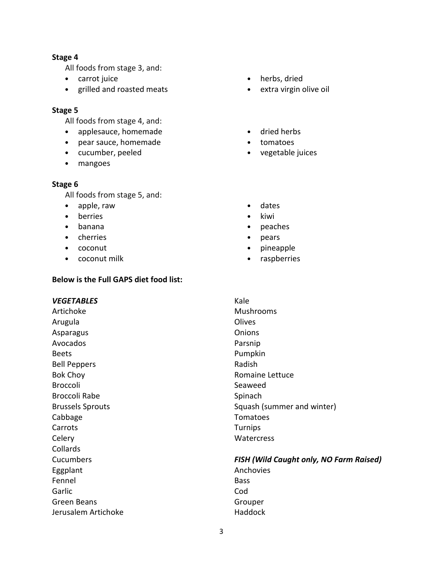### **Stage 4**

All foods from stage 3, and:

- carrot juice
- grilled and roasted meats

### **Stage 5**

All foods from stage 4, and:

- applesauce, homemade
- pear sauce, homemade
- cucumber, peeled
- mangoes

### **Stage 6**

All foods from stage 5, and:

- apple, raw
- berries
- banana
- cherries
- coconut
- coconut milk

## **Below is the Full GAPS diet food list:**

## *VEGETABLES* Artichoke Arugula Asparagus

Avocados

Beets Bell Peppers Bok Choy Broccoli Broccoli Rabe Brussels Sprouts Cabbage Carrots **Celery** Collards Cucumbers Eggplant

Fennel Garlic Green Beans

Jerusalem Artichoke

- herbs, dried
- extra virgin olive oil
- dried herbs
- tomatoes
- vegetable juices
- dates
- kiwi
- peaches
- pears
- pineapple
- raspberries

Kale Mushrooms **Olives Onions** Parsnip Pumpkin Radish Romaine Lettuce Seaweed Spinach Squash (summer and winter) Tomatoes Turnips Watercress

### *FISH (Wild Caught only, NO Farm Raised)*

Anchovies Bass Cod Grouper Haddock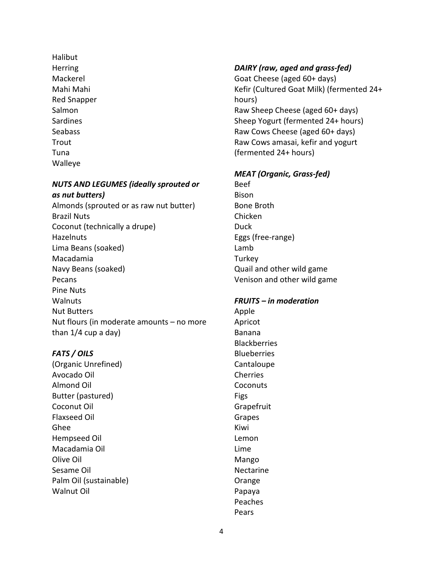Halibut **Herring** Mackerel Mahi Mahi Red Snapper Salmon Sardines **Seabass** Trout Tuna Walleye

### *NUTS AND LEGUMES (ideally sprouted or as nut butters)*

Almonds (sprouted or as raw nut butter) Brazil Nuts Coconut (technically a drupe) **Hazelnuts** Lima Beans (soaked) Macadamia Navy Beans (soaked) Pecans Pine Nuts **Walnuts** Nut Butters Nut flours (in moderate amounts – no more than 1/4 cup a day)

## *FATS / OILS*

(Organic Unrefined) Avocado Oil Almond Oil Butter (pastured) Coconut Oil Flaxseed Oil Ghee Hempseed Oil Macadamia Oil Olive Oil Sesame Oil Palm Oil (sustainable) Walnut Oil

## *DAIRY (raw, aged and grass-fed)*

Goat Cheese (aged 60+ days) Kefir (Cultured Goat Milk) (fermented 24+ hours) Raw Sheep Cheese (aged 60+ days) Sheep Yogurt (fermented 24+ hours) Raw Cows Cheese (aged 60+ days) Raw Cows amasai, kefir and yogurt (fermented 24+ hours)

### *MEAT (Organic, Grass-fed)*

Beef Bison Bone Broth Chicken Duck Eggs (free-range) Lamb **Turkey** Quail and other wild game Venison and other wild game

### *FRUITS – in moderation*

Apple Apricot Banana **Blackberries Blueberries** Cantaloupe Cherries **Coconuts** Figs **Grapefruit** Grapes Kiwi Lemon Lime Mango Nectarine Orange Papaya Peaches Pears